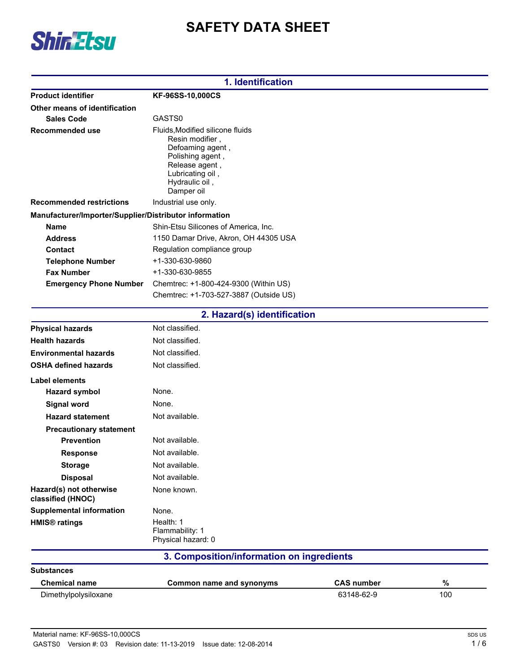

# **SAFETY DATA SHEET**

| 1. Identification                                      |                                                                                                                                                                   |  |
|--------------------------------------------------------|-------------------------------------------------------------------------------------------------------------------------------------------------------------------|--|
| <b>Product identifier</b>                              | KF-96SS-10,000CS                                                                                                                                                  |  |
| Other means of identification                          |                                                                                                                                                                   |  |
| <b>Sales Code</b>                                      | GASTS0                                                                                                                                                            |  |
| <b>Recommended use</b>                                 | Fluids, Modified silicone fluids<br>Resin modifier,<br>Defoaming agent,<br>Polishing agent,<br>Release agent,<br>Lubricating oil,<br>Hydraulic oil,<br>Damper oil |  |
| <b>Recommended restrictions</b>                        | Industrial use only.                                                                                                                                              |  |
| Manufacturer/Importer/Supplier/Distributor information |                                                                                                                                                                   |  |
| <b>Name</b>                                            | Shin-Etsu Silicones of America, Inc.                                                                                                                              |  |
| <b>Address</b>                                         | 1150 Damar Drive, Akron, OH 44305 USA                                                                                                                             |  |
| <b>Contact</b>                                         | Regulation compliance group                                                                                                                                       |  |
| <b>Telephone Number</b>                                | +1-330-630-9860                                                                                                                                                   |  |
| <b>Fax Number</b>                                      | +1-330-630-9855                                                                                                                                                   |  |
| <b>Emergency Phone Number</b>                          | Chemtrec: +1-800-424-9300 (Within US)                                                                                                                             |  |
|                                                        | Chemtrec: +1-703-527-3887 (Outside US)                                                                                                                            |  |
|                                                        | 2. Hazard(s) identification                                                                                                                                       |  |
| <b>Physical hazards</b>                                | Not classified.                                                                                                                                                   |  |
| <b>Health hazards</b>                                  | Not classified.                                                                                                                                                   |  |
| <b>Environmental hazards</b>                           | Not classified.                                                                                                                                                   |  |
| <b>OSHA defined hazards</b>                            | Not classified.                                                                                                                                                   |  |
| Label elements                                         |                                                                                                                                                                   |  |
| <b>Hazard symbol</b>                                   | None.                                                                                                                                                             |  |
| <b>Signal word</b>                                     | None.                                                                                                                                                             |  |
| <b>Hazard statement</b>                                | Not available.                                                                                                                                                    |  |
| <b>Precautionary statement</b>                         |                                                                                                                                                                   |  |
| <b>Prevention</b>                                      | Not available.                                                                                                                                                    |  |
| <b>Response</b>                                        | Not available.                                                                                                                                                    |  |
| <b>Storage</b>                                         | Not available.                                                                                                                                                    |  |
| <b>Disposal</b>                                        | Not available.                                                                                                                                                    |  |
| Hazard(s) not otherwise<br>classified (HNOC)           | None known.                                                                                                                                                       |  |
| <b>Supplemental information</b>                        | None.                                                                                                                                                             |  |
| <b>HMIS<sup>®</sup></b> ratings                        | Health: 1<br>Flammability: 1<br>Physical hazard: 0                                                                                                                |  |

# **3. Composition/information on ingredients**

| <b>Substances</b>    |                          |                   |     |
|----------------------|--------------------------|-------------------|-----|
| <b>Chemical name</b> | Common name and synonyms | <b>CAS number</b> | %   |
| Dimethylpolysiloxane |                          | 63148-62-9        | 100 |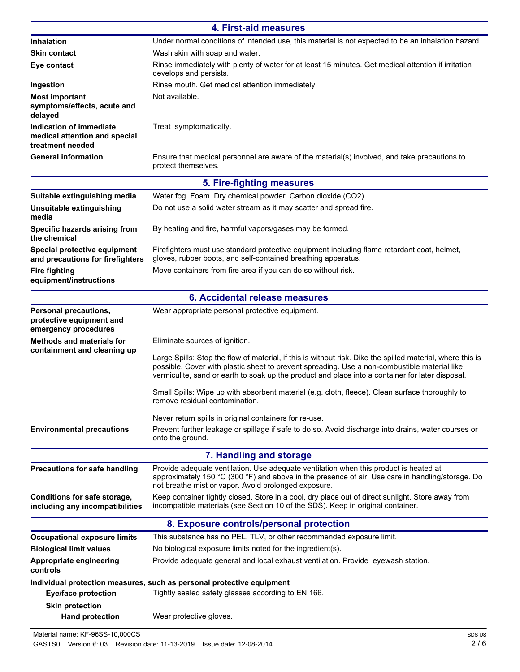| 4. First-aid measures                                                        |                                                                                                                                                                                                                                                                                                                |  |
|------------------------------------------------------------------------------|----------------------------------------------------------------------------------------------------------------------------------------------------------------------------------------------------------------------------------------------------------------------------------------------------------------|--|
| Inhalation                                                                   | Under normal conditions of intended use, this material is not expected to be an inhalation hazard.                                                                                                                                                                                                             |  |
| <b>Skin contact</b>                                                          | Wash skin with soap and water.                                                                                                                                                                                                                                                                                 |  |
| Eye contact                                                                  | Rinse immediately with plenty of water for at least 15 minutes. Get medical attention if irritation<br>develops and persists.                                                                                                                                                                                  |  |
| Ingestion                                                                    | Rinse mouth. Get medical attention immediately.                                                                                                                                                                                                                                                                |  |
| <b>Most important</b><br>symptoms/effects, acute and<br>delayed              | Not available.                                                                                                                                                                                                                                                                                                 |  |
| Indication of immediate<br>medical attention and special<br>treatment needed | Treat symptomatically.                                                                                                                                                                                                                                                                                         |  |
| <b>General information</b>                                                   | Ensure that medical personnel are aware of the material(s) involved, and take precautions to<br>protect themselves.                                                                                                                                                                                            |  |
|                                                                              | 5. Fire-fighting measures                                                                                                                                                                                                                                                                                      |  |
| Suitable extinguishing media                                                 | Water fog. Foam. Dry chemical powder. Carbon dioxide (CO2).                                                                                                                                                                                                                                                    |  |
| Unsuitable extinguishing<br>media                                            | Do not use a solid water stream as it may scatter and spread fire.                                                                                                                                                                                                                                             |  |
| Specific hazards arising from<br>the chemical                                | By heating and fire, harmful vapors/gases may be formed.                                                                                                                                                                                                                                                       |  |
| Special protective equipment<br>and precautions for firefighters             | Firefighters must use standard protective equipment including flame retardant coat, helmet,<br>gloves, rubber boots, and self-contained breathing apparatus.                                                                                                                                                   |  |
| <b>Fire fighting</b><br>equipment/instructions                               | Move containers from fire area if you can do so without risk.                                                                                                                                                                                                                                                  |  |
|                                                                              | 6. Accidental release measures                                                                                                                                                                                                                                                                                 |  |
| Personal precautions,<br>protective equipment and<br>emergency procedures    | Wear appropriate personal protective equipment.                                                                                                                                                                                                                                                                |  |
| <b>Methods and materials for</b>                                             | Eliminate sources of ignition.                                                                                                                                                                                                                                                                                 |  |
| containment and cleaning up                                                  | Large Spills: Stop the flow of material, if this is without risk. Dike the spilled material, where this is<br>possible. Cover with plastic sheet to prevent spreading. Use a non-combustible material like<br>vermiculite, sand or earth to soak up the product and place into a container for later disposal. |  |
|                                                                              | Small Spills: Wipe up with absorbent material (e.g. cloth, fleece). Clean surface thoroughly to<br>remove residual contamination.                                                                                                                                                                              |  |
|                                                                              | Never return spills in original containers for re-use.                                                                                                                                                                                                                                                         |  |
| <b>Environmental precautions</b>                                             | Prevent further leakage or spillage if safe to do so. Avoid discharge into drains, water courses or<br>onto the ground.                                                                                                                                                                                        |  |
|                                                                              | 7. Handling and storage                                                                                                                                                                                                                                                                                        |  |
| <b>Precautions for safe handling</b>                                         | Provide adequate ventilation. Use adequate ventilation when this product is heated at<br>approximately 150 °C (300 °F) and above in the presence of air. Use care in handling/storage. Do<br>not breathe mist or vapor. Avoid prolonged exposure.                                                              |  |
| Conditions for safe storage,<br>including any incompatibilities              | Keep container tightly closed. Store in a cool, dry place out of direct sunlight. Store away from<br>incompatible materials (see Section 10 of the SDS). Keep in original container.                                                                                                                           |  |
|                                                                              | 8. Exposure controls/personal protection                                                                                                                                                                                                                                                                       |  |
| <b>Occupational exposure limits</b>                                          | This substance has no PEL, TLV, or other recommended exposure limit.                                                                                                                                                                                                                                           |  |
| <b>Biological limit values</b>                                               | No biological exposure limits noted for the ingredient(s).                                                                                                                                                                                                                                                     |  |
| Appropriate engineering<br>controls                                          | Provide adequate general and local exhaust ventilation. Provide eyewash station.                                                                                                                                                                                                                               |  |
| <b>Eye/face protection</b>                                                   | Individual protection measures, such as personal protective equipment<br>Tightly sealed safety glasses according to EN 166.                                                                                                                                                                                    |  |
| <b>Skin protection</b><br><b>Hand protection</b>                             | Wear protective gloves.                                                                                                                                                                                                                                                                                        |  |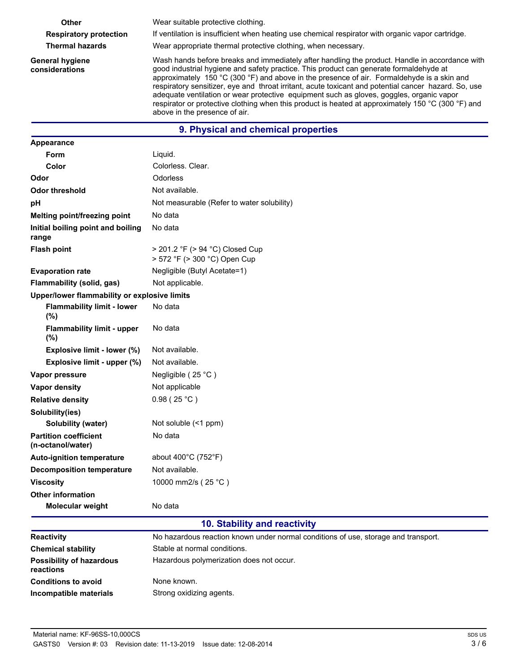**General hygiene considerations**

**Other** Wear suitable protective clothing.

**Respiratory protection** If ventilation is insufficient when heating use chemical respirator with organic vapor cartridge.

**Thermal hazards** Wear appropriate thermal protective clothing, when necessary.

Wash hands before breaks and immediately after handling the product. Handle in accordance with good industrial hygiene and safety practice. This product can generate formaldehyde at approximately 150 °C (300 °F) and above in the presence of air. Formaldehyde is a skin and respiratory sensitizer, eye and throat irritant, acute toxicant and potential cancer hazard. So, use adequate ventilation or wear protective equipment such as gloves, goggles, organic vapor respirator or protective clothing when this product is heated at approximately 150 °C (300 °F) and above in the presence of air.

## **9. Physical and chemical properties**

| <b>Appearance</b>                                 |                                                                                    |
|---------------------------------------------------|------------------------------------------------------------------------------------|
| <b>Form</b>                                       | Liquid.                                                                            |
| Color                                             | Colorless, Clear.                                                                  |
| Odor                                              | Odorless                                                                           |
| <b>Odor threshold</b>                             | Not available.                                                                     |
| рH                                                | Not measurable (Refer to water solubility)                                         |
| Melting point/freezing point                      | No data                                                                            |
| Initial boiling point and boiling<br>range        | No data                                                                            |
| <b>Flash point</b>                                | > 201.2 °F (> 94 °C) Closed Cup<br>> 572 °F (> 300 °C) Open Cup                    |
| <b>Evaporation rate</b>                           | Negligible (Butyl Acetate=1)                                                       |
| Flammability (solid, gas)                         | Not applicable.                                                                    |
| Upper/lower flammability or explosive limits      |                                                                                    |
| <b>Flammability limit - lower</b><br>(%)          | No data                                                                            |
| <b>Flammability limit - upper</b><br>(%)          | No data                                                                            |
| Explosive limit - lower (%)                       | Not available.                                                                     |
| Explosive limit - upper (%)                       | Not available.                                                                     |
| Vapor pressure                                    | Negligible (25 °C)                                                                 |
| <b>Vapor density</b>                              | Not applicable                                                                     |
| <b>Relative density</b>                           | 0.98(25 °C)                                                                        |
| Solubility(ies)                                   |                                                                                    |
| Solubility (water)                                | Not soluble $($                                                                    |
| <b>Partition coefficient</b><br>(n-octanol/water) | No data                                                                            |
| <b>Auto-ignition temperature</b>                  | about $400^{\circ}$ C (752 $^{\circ}$ F)                                           |
| <b>Decomposition temperature</b>                  | Not available.                                                                     |
| <b>Viscosity</b>                                  | 10000 mm2/s (25 °C)                                                                |
| <b>Other information</b>                          |                                                                                    |
| <b>Molecular weight</b>                           | No data                                                                            |
|                                                   | 10. Stability and reactivity                                                       |
| Reactivity                                        | No hazardous reaction known under normal conditions of use, storage and transport. |
| <b>Chemical stability</b>                         | Stable at normal conditions.                                                       |
| <b>Possibility of hazardous</b><br>reactions      | Hazardous polymerization does not occur.                                           |

**Conditions to avoid** None known.

**Incompatible materials** Strong oxidizing agents.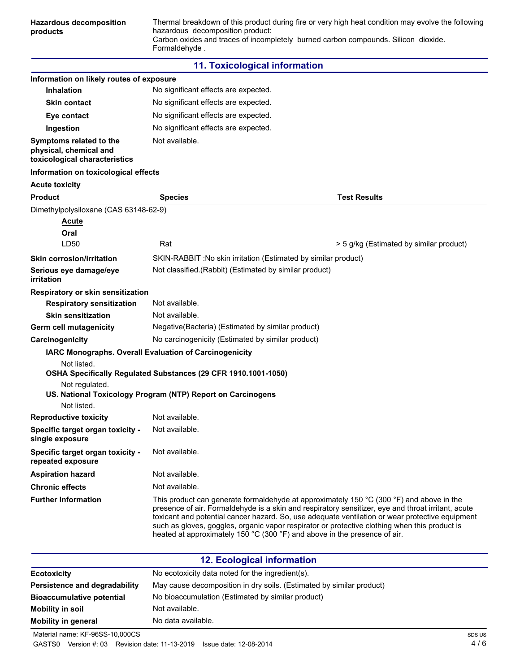#### **11. Toxicological information**

| Information on likely routes of exposure                                           |                                                                                                                                                                                                                                                                                                                                                                                                                                                                                 |                                         |
|------------------------------------------------------------------------------------|---------------------------------------------------------------------------------------------------------------------------------------------------------------------------------------------------------------------------------------------------------------------------------------------------------------------------------------------------------------------------------------------------------------------------------------------------------------------------------|-----------------------------------------|
| <b>Inhalation</b>                                                                  | No significant effects are expected.                                                                                                                                                                                                                                                                                                                                                                                                                                            |                                         |
| <b>Skin contact</b>                                                                | No significant effects are expected.                                                                                                                                                                                                                                                                                                                                                                                                                                            |                                         |
| Eye contact                                                                        | No significant effects are expected.                                                                                                                                                                                                                                                                                                                                                                                                                                            |                                         |
| Ingestion                                                                          | No significant effects are expected.                                                                                                                                                                                                                                                                                                                                                                                                                                            |                                         |
| Symptoms related to the<br>physical, chemical and<br>toxicological characteristics | Not available.                                                                                                                                                                                                                                                                                                                                                                                                                                                                  |                                         |
| Information on toxicological effects                                               |                                                                                                                                                                                                                                                                                                                                                                                                                                                                                 |                                         |
| <b>Acute toxicity</b>                                                              |                                                                                                                                                                                                                                                                                                                                                                                                                                                                                 |                                         |
| <b>Product</b>                                                                     | <b>Species</b>                                                                                                                                                                                                                                                                                                                                                                                                                                                                  | <b>Test Results</b>                     |
| Dimethylpolysiloxane (CAS 63148-62-9)                                              |                                                                                                                                                                                                                                                                                                                                                                                                                                                                                 |                                         |
| <u>Acute</u>                                                                       |                                                                                                                                                                                                                                                                                                                                                                                                                                                                                 |                                         |
| Oral                                                                               |                                                                                                                                                                                                                                                                                                                                                                                                                                                                                 |                                         |
| LD50                                                                               | Rat                                                                                                                                                                                                                                                                                                                                                                                                                                                                             | > 5 g/kg (Estimated by similar product) |
| <b>Skin corrosion/irritation</b>                                                   | SKIN-RABBIT : No skin irritation (Estimated by similar product)                                                                                                                                                                                                                                                                                                                                                                                                                 |                                         |
| Serious eye damage/eye<br>irritation                                               | Not classified.(Rabbit) (Estimated by similar product)                                                                                                                                                                                                                                                                                                                                                                                                                          |                                         |
| Respiratory or skin sensitization                                                  |                                                                                                                                                                                                                                                                                                                                                                                                                                                                                 |                                         |
| <b>Respiratory sensitization</b>                                                   | Not available.                                                                                                                                                                                                                                                                                                                                                                                                                                                                  |                                         |
| <b>Skin sensitization</b>                                                          | Not available.                                                                                                                                                                                                                                                                                                                                                                                                                                                                  |                                         |
| Germ cell mutagenicity                                                             | Negative (Bacteria) (Estimated by similar product)                                                                                                                                                                                                                                                                                                                                                                                                                              |                                         |
| Carcinogenicity                                                                    | No carcinogenicity (Estimated by similar product)                                                                                                                                                                                                                                                                                                                                                                                                                               |                                         |
|                                                                                    | IARC Monographs. Overall Evaluation of Carcinogenicity                                                                                                                                                                                                                                                                                                                                                                                                                          |                                         |
| Not listed.<br>Not regulated.<br>Not listed.                                       | OSHA Specifically Regulated Substances (29 CFR 1910.1001-1050)<br>US. National Toxicology Program (NTP) Report on Carcinogens                                                                                                                                                                                                                                                                                                                                                   |                                         |
| <b>Reproductive toxicity</b>                                                       | Not available.                                                                                                                                                                                                                                                                                                                                                                                                                                                                  |                                         |
| Specific target organ toxicity -<br>single exposure                                | Not available.                                                                                                                                                                                                                                                                                                                                                                                                                                                                  |                                         |
| Specific target organ toxicity -<br>repeated exposure                              | Not available.                                                                                                                                                                                                                                                                                                                                                                                                                                                                  |                                         |
| <b>Aspiration hazard</b>                                                           | Not available.                                                                                                                                                                                                                                                                                                                                                                                                                                                                  |                                         |
| <b>Chronic effects</b>                                                             | Not available.                                                                                                                                                                                                                                                                                                                                                                                                                                                                  |                                         |
| <b>Further information</b>                                                         | This product can generate formaldehyde at approximately 150 °C (300 °F) and above in the<br>presence of air. Formaldehyde is a skin and respiratory sensitizer, eye and throat irritant, acute<br>toxicant and potential cancer hazard. So, use adequate ventilation or wear protective equipment<br>such as gloves, goggles, organic vapor respirator or protective clothing when this product is<br>heated at approximately 150 °C (300 °F) and above in the presence of air. |                                         |

| <b>12. Ecological information</b>                                    |  |
|----------------------------------------------------------------------|--|
| No ecotoxicity data noted for the ingredient(s).                     |  |
| May cause decomposition in dry soils. (Estimated by similar product) |  |
| No bioaccumulation (Estimated by similar product)                    |  |
| Not available.                                                       |  |
| No data available.                                                   |  |
|                                                                      |  |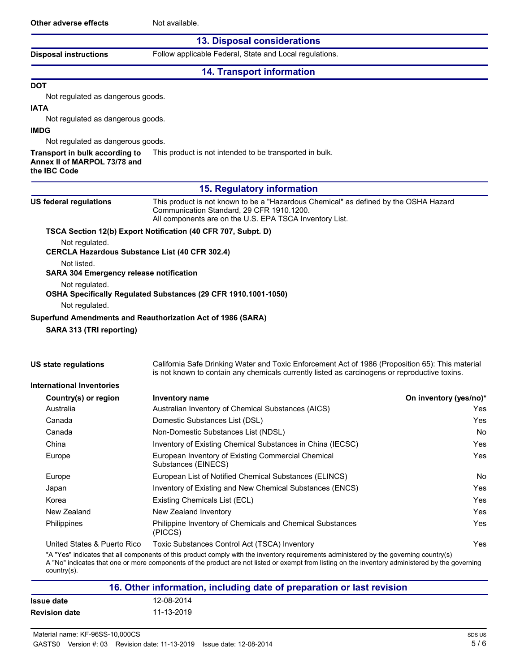## **13. Disposal considerations**

**Disposal instructions** Follow applicable Federal, State and Local regulations.

### **14. Transport information**

# **DOT**

Not regulated as dangerous goods.

# **IATA**

Not regulated as dangerous goods.

# **IMDG**

Not regulated as dangerous goods.

**Transport in bulk according to** This product is not intended to be transported in bulk.

**Annex II of MARPOL 73/78 and**

### **the IBC Code**

#### **15. Regulatory information**

| US federal regulations                                          | This product is not known to be a "Hazardous Chemical" as defined by the OSHA Hazard<br>Communication Standard, 29 CFR 1910.1200.<br>All components are on the U.S. EPA TSCA Inventory List.      |                                |
|-----------------------------------------------------------------|---------------------------------------------------------------------------------------------------------------------------------------------------------------------------------------------------|--------------------------------|
|                                                                 | TSCA Section 12(b) Export Notification (40 CFR 707, Subpt. D)                                                                                                                                     |                                |
| Not regulated.                                                  | <b>CERCLA Hazardous Substance List (40 CFR 302.4)</b>                                                                                                                                             |                                |
| Not listed.                                                     |                                                                                                                                                                                                   |                                |
| <b>SARA 304 Emergency release notification</b>                  |                                                                                                                                                                                                   |                                |
| Not regulated.                                                  |                                                                                                                                                                                                   |                                |
|                                                                 | OSHA Specifically Regulated Substances (29 CFR 1910.1001-1050)                                                                                                                                    |                                |
| Not regulated.                                                  |                                                                                                                                                                                                   |                                |
|                                                                 | Superfund Amendments and Reauthorization Act of 1986 (SARA)                                                                                                                                       |                                |
| SARA 313 (TRI reporting)                                        |                                                                                                                                                                                                   |                                |
| <b>US state regulations</b><br><b>International Inventories</b> | California Safe Drinking Water and Toxic Enforcement Act of 1986 (Proposition 65): This material<br>is not known to contain any chemicals currently listed as carcinogens or reproductive toxins. |                                |
|                                                                 |                                                                                                                                                                                                   |                                |
| Country(s) or region<br>Australia                               | Inventory name<br>Australian Inventory of Chemical Substances (AICS)                                                                                                                              | On inventory (yes/no)*<br>Yes. |
| Canada                                                          | Domestic Substances List (DSL)                                                                                                                                                                    | Yes                            |
| Canada                                                          | Non-Domestic Substances List (NDSL)                                                                                                                                                               | No.                            |
| China                                                           | Inventory of Existing Chemical Substances in China (IECSC)                                                                                                                                        | Yes                            |
| Europe                                                          | European Inventory of Existing Commercial Chemical<br>Substances (EINECS)                                                                                                                         | Yes                            |
| Europe                                                          | European List of Notified Chemical Substances (ELINCS)                                                                                                                                            | <b>No</b>                      |
| Japan                                                           | Inventory of Existing and New Chemical Substances (ENCS)                                                                                                                                          | Yes                            |
| Korea                                                           | Existing Chemicals List (ECL)                                                                                                                                                                     | <b>Yes</b>                     |
| New Zealand                                                     | New Zealand Inventory                                                                                                                                                                             | Yes                            |
| Philippines                                                     | Philippine Inventory of Chemicals and Chemical Substances<br>(PICCS)                                                                                                                              | Yes                            |

United States & Puerto Rico Toxic Substances Control Act (TSCA) Inventory Yes

\*A "Yes" indicates that all components of this product comply with the inventory requirements administered by the governing country(s)

A "No" indicates that one or more components of the product are not listed or exempt from listing on the inventory administered by the governing country(s).

| 16. Other information, including date of preparation or last revision |            |  |
|-----------------------------------------------------------------------|------------|--|
| Issue date                                                            | 12-08-2014 |  |
| <b>Revision date</b>                                                  | 11-13-2019 |  |